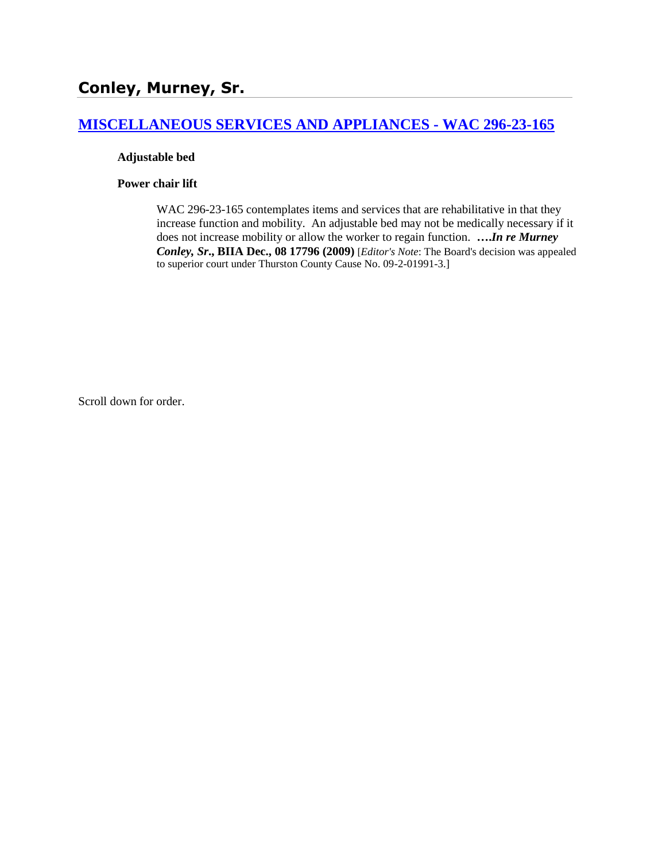# **[MISCELLANEOUS SERVICES AND APPLIANCES -](http://www.biia.wa.gov/SDSubjectIndex.html#MISCELLANEOUS_SERVICES_AND_APPLIANCES) WAC 296-23-165**

### **Adjustable bed**

### **Power chair lift**

WAC 296-23-165 contemplates items and services that are rehabilitative in that they increase function and mobility. An adjustable bed may not be medically necessary if it does not increase mobility or allow the worker to regain function. **….***In re Murney Conley, Sr***., BIIA Dec., 08 17796 (2009)** [*Editor's Note*: The Board's decision was appealed to superior court under Thurston County Cause No. 09-2-01991-3.]

Scroll down for order.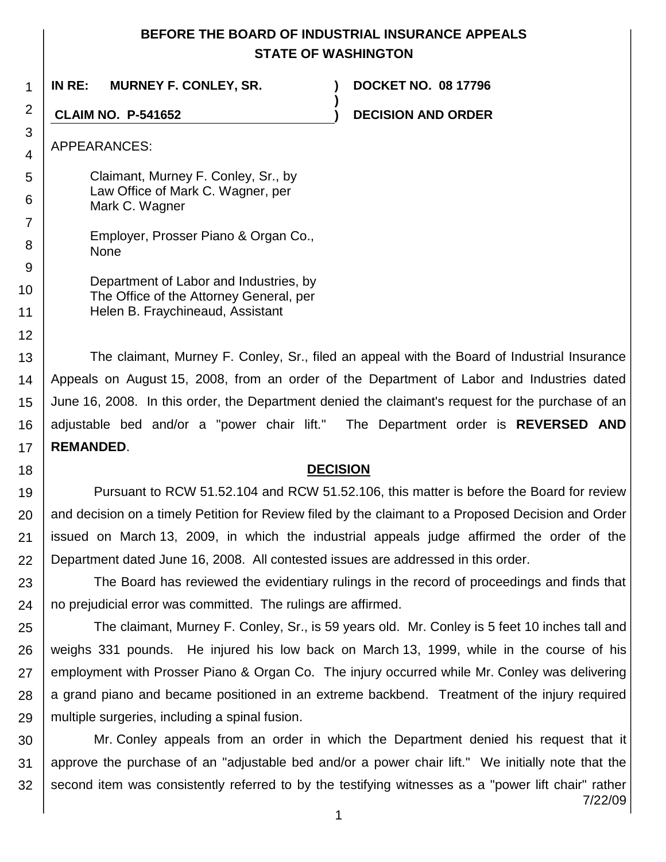# **BEFORE THE BOARD OF INDUSTRIAL INSURANCE APPEALS STATE OF WASHINGTON**

**)**

**IN RE: MURNEY F. CONLEY, SR. ) DOCKET NO. 08 17796**

**CLAIM NO. P-541652 ) DECISION AND ORDER**

APPEARANCES:

1

2

3

4

5

6

7

8

12

18

Claimant, Murney F. Conley, Sr., by Law Office of Mark C. Wagner, per Mark C. Wagner

|             | Employer, Prosser Piano & Organ Co., |
|-------------|--------------------------------------|
| <b>None</b> |                                      |

9 10 11 Department of Labor and Industries, by The Office of the Attorney General, per Helen B. Fraychineaud, Assistant

13 14 15 16 17 The claimant, Murney F. Conley, Sr., filed an appeal with the Board of Industrial Insurance Appeals on August 15, 2008, from an order of the Department of Labor and Industries dated June 16, 2008. In this order, the Department denied the claimant's request for the purchase of an adjustable bed and/or a "power chair lift." The Department order is **REVERSED AND REMANDED**.

# **DECISION**

19 20 21 22 Pursuant to RCW 51.52.104 and RCW 51.52.106, this matter is before the Board for review and decision on a timely Petition for Review filed by the claimant to a Proposed Decision and Order issued on March 13, 2009, in which the industrial appeals judge affirmed the order of the Department dated June 16, 2008. All contested issues are addressed in this order.

23 24 The Board has reviewed the evidentiary rulings in the record of proceedings and finds that no prejudicial error was committed. The rulings are affirmed.

25 26 27 28 29 The claimant, Murney F. Conley, Sr., is 59 years old. Mr. Conley is 5 feet 10 inches tall and weighs 331 pounds. He injured his low back on March 13, 1999, while in the course of his employment with Prosser Piano & Organ Co. The injury occurred while Mr. Conley was delivering a grand piano and became positioned in an extreme backbend. Treatment of the injury required multiple surgeries, including a spinal fusion.

7/22/09 30 31 32 Mr. Conley appeals from an order in which the Department denied his request that it approve the purchase of an "adjustable bed and/or a power chair lift." We initially note that the second item was consistently referred to by the testifying witnesses as a "power lift chair" rather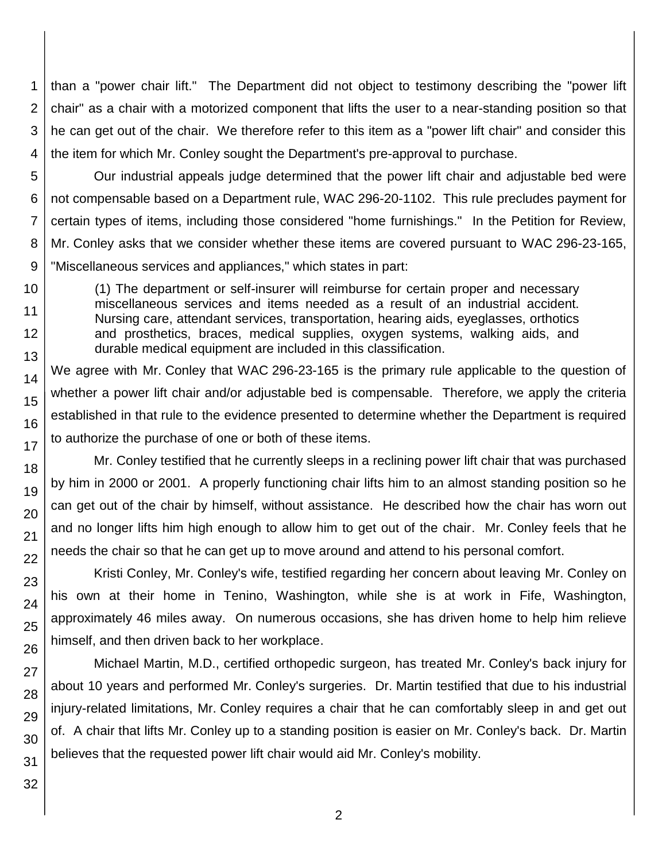1 2 3 4 than a "power chair lift." The Department did not object to testimony describing the "power lift chair" as a chair with a motorized component that lifts the user to a near-standing position so that he can get out of the chair. We therefore refer to this item as a "power lift chair" and consider this the item for which Mr. Conley sought the Department's pre-approval to purchase.

5 Our industrial appeals judge determined that the power lift chair and adjustable bed were not compensable based on a Department rule, WAC 296-20-1102. This rule precludes payment for certain types of items, including those considered "home furnishings." In the Petition for Review, Mr. Conley asks that we consider whether these items are covered pursuant to WAC 296-23-165, "Miscellaneous services and appliances," which states in part:

(1) The department or self-insurer will reimburse for certain proper and necessary miscellaneous services and items needed as a result of an industrial accident. Nursing care, attendant services, transportation, hearing aids, eyeglasses, orthotics and prosthetics, braces, medical supplies, oxygen systems, walking aids, and durable medical equipment are included in this classification.

We agree with Mr. Conley that WAC 296-23-165 is the primary rule applicable to the question of whether a power lift chair and/or adjustable bed is compensable. Therefore, we apply the criteria established in that rule to the evidence presented to determine whether the Department is required to authorize the purchase of one or both of these items.

Mr. Conley testified that he currently sleeps in a reclining power lift chair that was purchased by him in 2000 or 2001. A properly functioning chair lifts him to an almost standing position so he can get out of the chair by himself, without assistance. He described how the chair has worn out and no longer lifts him high enough to allow him to get out of the chair. Mr. Conley feels that he needs the chair so that he can get up to move around and attend to his personal comfort.

Kristi Conley, Mr. Conley's wife, testified regarding her concern about leaving Mr. Conley on his own at their home in Tenino, Washington, while she is at work in Fife, Washington, approximately 46 miles away. On numerous occasions, she has driven home to help him relieve himself, and then driven back to her workplace.

Michael Martin, M.D., certified orthopedic surgeon, has treated Mr. Conley's back injury for about 10 years and performed Mr. Conley's surgeries. Dr. Martin testified that due to his industrial injury-related limitations, Mr. Conley requires a chair that he can comfortably sleep in and get out of. A chair that lifts Mr. Conley up to a standing position is easier on Mr. Conley's back. Dr. Martin believes that the requested power lift chair would aid Mr. Conley's mobility.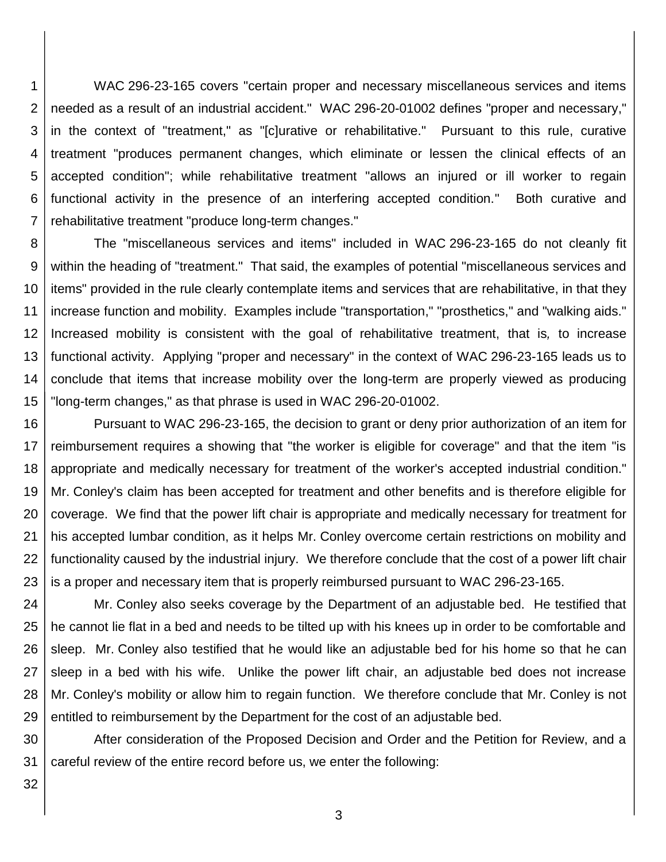1 2 3 4 5 6 7 WAC 296-23-165 covers "certain proper and necessary miscellaneous services and items needed as a result of an industrial accident." WAC 296-20-01002 defines "proper and necessary," in the context of "treatment," as "[c]urative or rehabilitative." Pursuant to this rule, curative treatment "produces permanent changes, which eliminate or lessen the clinical effects of an accepted condition"; while rehabilitative treatment "allows an injured or ill worker to regain functional activity in the presence of an interfering accepted condition." Both curative and rehabilitative treatment "produce long-term changes."

8 9 10 11 12 13 14 15 The "miscellaneous services and items" included in WAC 296-23-165 do not cleanly fit within the heading of "treatment." That said, the examples of potential "miscellaneous services and items" provided in the rule clearly contemplate items and services that are rehabilitative, in that they increase function and mobility. Examples include "transportation," "prosthetics," and "walking aids." Increased mobility is consistent with the goal of rehabilitative treatment, that is*,* to increase functional activity. Applying "proper and necessary" in the context of WAC 296-23-165 leads us to conclude that items that increase mobility over the long-term are properly viewed as producing "long-term changes," as that phrase is used in WAC 296-20-01002.

16 17 18 19 20 21 22 23 Pursuant to WAC 296-23-165, the decision to grant or deny prior authorization of an item for reimbursement requires a showing that "the worker is eligible for coverage" and that the item "is appropriate and medically necessary for treatment of the worker's accepted industrial condition." Mr. Conley's claim has been accepted for treatment and other benefits and is therefore eligible for coverage. We find that the power lift chair is appropriate and medically necessary for treatment for his accepted lumbar condition, as it helps Mr. Conley overcome certain restrictions on mobility and functionality caused by the industrial injury. We therefore conclude that the cost of a power lift chair is a proper and necessary item that is properly reimbursed pursuant to WAC 296-23-165.

24 25 26 27 28 29 Mr. Conley also seeks coverage by the Department of an adjustable bed. He testified that he cannot lie flat in a bed and needs to be tilted up with his knees up in order to be comfortable and sleep. Mr. Conley also testified that he would like an adjustable bed for his home so that he can sleep in a bed with his wife. Unlike the power lift chair, an adjustable bed does not increase Mr. Conley's mobility or allow him to regain function. We therefore conclude that Mr. Conley is not entitled to reimbursement by the Department for the cost of an adjustable bed.

30 31 After consideration of the Proposed Decision and Order and the Petition for Review, and a careful review of the entire record before us, we enter the following:

32

3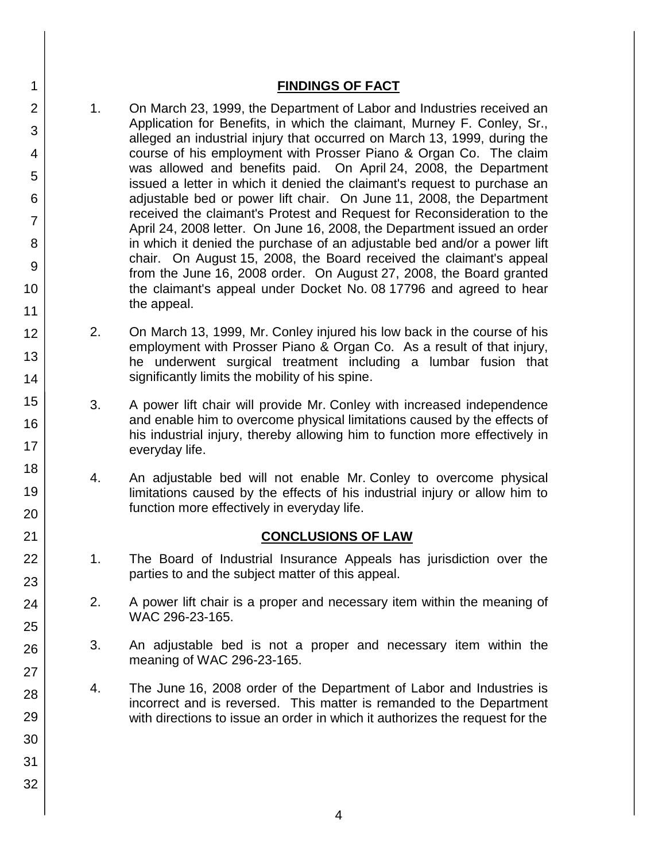## **FINDINGS OF FACT**

- 1. On March 23, 1999, the Department of Labor and Industries received an Application for Benefits, in which the claimant, Murney F. Conley, Sr., alleged an industrial injury that occurred on March 13, 1999, during the course of his employment with Prosser Piano & Organ Co. The claim was allowed and benefits paid. On April 24, 2008, the Department issued a letter in which it denied the claimant's request to purchase an adjustable bed or power lift chair. On June 11, 2008, the Department received the claimant's Protest and Request for Reconsideration to the April 24, 2008 letter. On June 16, 2008, the Department issued an order in which it denied the purchase of an adjustable bed and/or a power lift chair. On August 15, 2008, the Board received the claimant's appeal from the June 16, 2008 order. On August 27, 2008, the Board granted the claimant's appeal under Docket No. 08 17796 and agreed to hear the appeal.
- 2. On March 13, 1999, Mr. Conley injured his low back in the course of his employment with Prosser Piano & Organ Co. As a result of that injury, he underwent surgical treatment including a lumbar fusion that significantly limits the mobility of his spine.
- 3. A power lift chair will provide Mr. Conley with increased independence and enable him to overcome physical limitations caused by the effects of his industrial injury, thereby allowing him to function more effectively in everyday life.
- 4. An adjustable bed will not enable Mr. Conley to overcome physical limitations caused by the effects of his industrial injury or allow him to function more effectively in everyday life.

## **CONCLUSIONS OF LAW**

- 1. The Board of Industrial Insurance Appeals has jurisdiction over the parties to and the subject matter of this appeal.
- 2. A power lift chair is a proper and necessary item within the meaning of WAC 296-23-165.
- 3. An adjustable bed is not a proper and necessary item within the meaning of WAC 296-23-165.
- 4. The June 16, 2008 order of the Department of Labor and Industries is incorrect and is reversed. This matter is remanded to the Department with directions to issue an order in which it authorizes the request for the
- 2 3 4 5 6 7 8 9 10 11 12 13 14 15 16 17 18 19 20 21 22 23 24 25 26 27 28 29 30 31 32

1